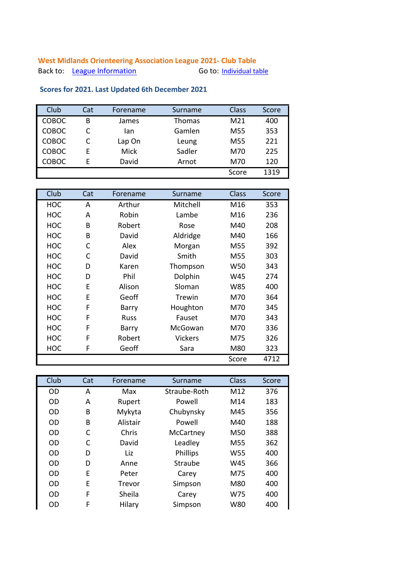## **West Midlands Orienteering Association League 2021- Club Table** Back to: League Information Go to: Individual table

 **Scores for 2021. Last Updated 6th December 2021**

## Club Cat Forename Surname Class Score COBOC B James Thomas M21 400 COBOC C Ian Gamlen M55 353 COBOC C Lap On Leung M55 221 COBOC E Mick Sadler M70 225 COBOC E David Arnot M70 120 Score 1319

| Club       | Cat | Forename | Surname        | Class | Score |
|------------|-----|----------|----------------|-------|-------|
| <b>HOC</b> | A   | Arthur   | Mitchell       | M16   | 353   |
| <b>HOC</b> | A   | Robin    | Lambe          | M16   | 236   |
| <b>HOC</b> | B   | Robert   | Rose           | M40   | 208   |
| <b>HOC</b> | B   | David    | Aldridge       | M40   | 166   |
| <b>HOC</b> | C   | Alex     | Morgan         | M55   | 392   |
| <b>HOC</b> | C   | David    | Smith          | M55   | 303   |
| <b>HOC</b> | D   | Karen    | Thompson       | W50   | 343   |
| <b>HOC</b> | D   | Phil     | Dolphin        | W45   | 274   |
| <b>HOC</b> | E   | Alison   | Sloman         | W85   | 400   |
| <b>HOC</b> | E   | Geoff    | <b>Trewin</b>  | M70   | 364   |
| <b>HOC</b> | F   | Barry    | Houghton       | M70   | 345   |
| <b>HOC</b> | F   | Russ     | Fauset         | M70   | 343   |
| <b>HOC</b> | F   | Barry    | McGowan        | M70   | 336   |
| <b>HOC</b> | F   | Robert   | <b>Vickers</b> | M75   | 326   |
| <b>HOC</b> | F   | Geoff    | Sara           | M80   | 323   |
|            |     |          |                | Score | 4712  |

| Club      | Cat | Forename      | Surname         | <b>Class</b> | Score |
|-----------|-----|---------------|-----------------|--------------|-------|
| OD        | A   | Max           | Straube-Roth    | M12          | 376   |
| <b>OD</b> | A   | Rupert        | Powell          | M14          | 183   |
| <b>OD</b> | B   | Mykyta        | Chubynsky       | M45          | 356   |
| <b>OD</b> | B   | Alistair      | Powell          | M40          | 188   |
| OD        | C   | Chris         | McCartney       | M50          | 388   |
| <b>OD</b> | C   | David         | Leadley         | M55          | 362   |
| <b>OD</b> | D   | Liz           | <b>Phillips</b> | W55          | 400   |
| <b>OD</b> | D   | Anne          | Straube         | W45          | 366   |
| <b>OD</b> | Ε   | Peter         | Carey           | M75          | 400   |
| <b>OD</b> | Ε   | <b>Trevor</b> | Simpson         | M80          | 400   |
| <b>OD</b> | F   | Sheila        | Carey           | W75          | 400   |
| OD        | F   | Hilary        | Simpson         | W80          | 400   |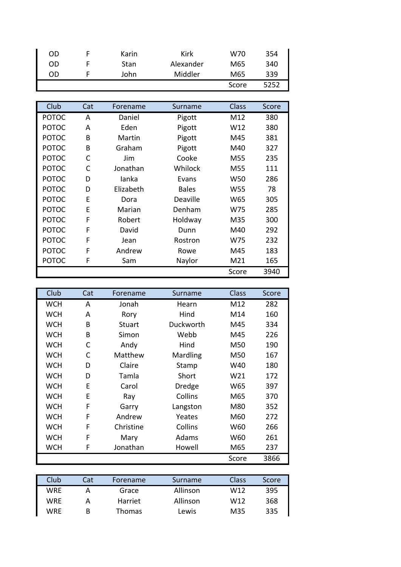| OD | Karin | Kirk      | W70   | 354  |  |
|----|-------|-----------|-------|------|--|
| OD | Stan  | Alexander | M65   | 340  |  |
| OD | John  | Middler   | M65   | 339  |  |
|    |       |           | Score | 5252 |  |

| Club         | Cat | Forename  | Surname      | Class | Score |
|--------------|-----|-----------|--------------|-------|-------|
| <b>POTOC</b> | A   | Daniel    | Pigott       | M12   | 380   |
| <b>POTOC</b> | A   | Eden      | Pigott       | W12   | 380   |
| <b>POTOC</b> | B   | Martin    | Pigott       | M45   | 381   |
| <b>POTOC</b> | B   | Graham    | Pigott       | M40   | 327   |
| <b>POTOC</b> | C   | Jim       | Cooke        | M55   | 235   |
| <b>POTOC</b> | C   | Jonathan  | Whilock      | M55   | 111   |
| <b>POTOC</b> | D   | lanka     | Evans        | W50   | 286   |
| <b>POTOC</b> | D   | Elizabeth | <b>Bales</b> | W55   | 78    |
| <b>POTOC</b> | E   | Dora      | Deaville     | W65   | 305   |
| <b>POTOC</b> | E   | Marian    | Denham       | W75   | 285   |
| <b>POTOC</b> | F   | Robert    | Holdway      | M35   | 300   |
| <b>POTOC</b> | F   | David     | Dunn         | M40   | 292   |
| <b>POTOC</b> | F   | Jean      | Rostron      | W75   | 232   |
| <b>POTOC</b> | F   | Andrew    | Rowe         | M45   | 183   |
| <b>POTOC</b> | F   | Sam       | Naylor       | M21   | 165   |
|              |     |           |              | Score | 3940  |

| Club       | Cat | Forename      | Surname       | <b>Class</b> | Score |
|------------|-----|---------------|---------------|--------------|-------|
| <b>WCH</b> | A   | Jonah         | Hearn         | M12          | 282   |
| <b>WCH</b> | A   | Rory          | Hind          | M14          | 160   |
| <b>WCH</b> | B   | <b>Stuart</b> | Duckworth     | M45          | 334   |
| <b>WCH</b> | B   | Simon         | Webb          | M45          | 226   |
| <b>WCH</b> | C   | Andy          | Hind          | M50          | 190   |
| <b>WCH</b> | C   | Matthew       | Mardling      | M50          | 167   |
| <b>WCH</b> | D   | Claire        | Stamp         | W40          | 180   |
| <b>WCH</b> | D   | Tamla         | Short         | W21          | 172   |
| <b>WCH</b> | E   | Carol         | <b>Dredge</b> | W65          | 397   |
| <b>WCH</b> | Ε   | Ray           | Collins       | M65          | 370   |
| <b>WCH</b> | F   | Garry         | Langston      | M80          | 352   |
| <b>WCH</b> | F   | Andrew        | Yeates        | M60          | 272   |
| <b>WCH</b> | F   | Christine     | Collins       | W60          | 266   |
| <b>WCH</b> | F   | Mary          | Adams         | W60          | 261   |
| <b>WCH</b> | F   | Jonathan      | Howell        | M65          | 237   |
|            |     |               |               | Score        | 3866  |

| Club | Cat | Forename | Surname  | <b>Class</b> | Score |
|------|-----|----------|----------|--------------|-------|
| WRE  |     | Grace    | Allinson | W12          | 395   |
| WRE  |     | Harriet  | Allinson | W12          | 368   |
| WRE  | В   | Thomas   | Lewis    | M35          | 335   |